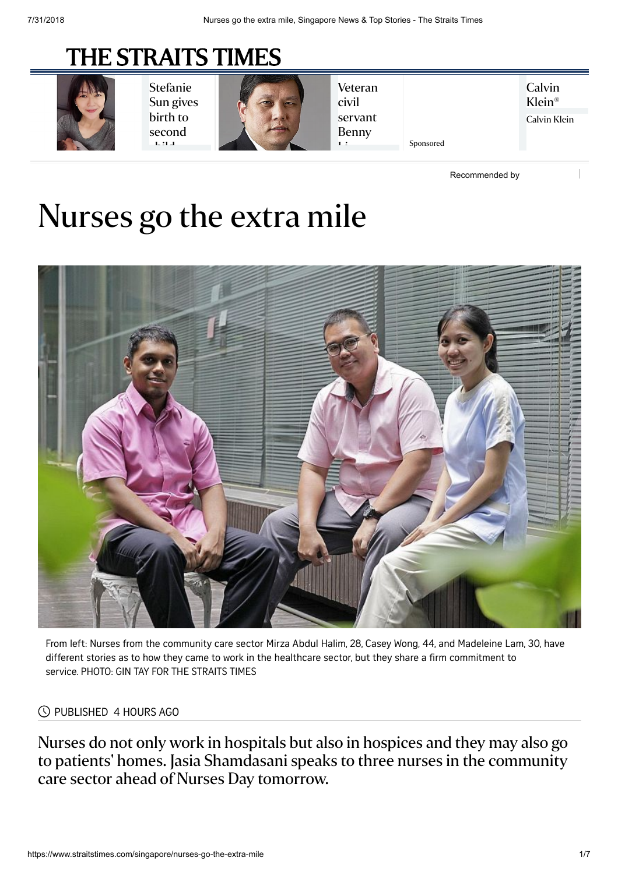## [THE STRAITS TIMES](https://www.straitstimes.com/)



[Stefanie](https://www.straitstimes.com/lifestyle/entertainment/stefanie-sun-gives-birth-to-second-child-a-girl?obOrigUrl=true) Sun gives birth to second hilda<br>A



[Veteran](https://www.straitstimes.com/singapore/environment/veteran-civil-servant-benny-lim-appointed-new-nparks-chairman?obOrigUrl=true) civil servant Benny  $\mathbf{L}$ 

**Calvin** [Klein®](https://cat.jp.as.criteo.com/delivery/ckn.php?cppv=1&cpp=WR9qH3wyUDBVZTdxVDFFc2p3ZU1paW96OHZEVlk5dkowamY2Qy8remlvRWRieHlxVE55TnRwNk40N3ZoSCs1Kzl1T0lCVCtKdFJ2ZTArZmVpVFNQODZ6ZmRpb1hZLzBTek5LQWZrekt2SzZjMEhYanhhWVJlNnNxdHBxUU1TdVZkNEZ4cllDbFNqNHR1YTJMSE5xVTBQUE82eXBTUGRKZXhpbmVWRVM5RllXMWVhM3FuMGdQaklSSmQ5bWhSYzgzcHpFZnliNGdIQ1ZLa3ZZUzQ0ZWJjaHd6eXpqcGcycWpEVGcreCtxM05EMklGZFFJRzQyL3RxMGdrVVI4ZloxMUM1MUhUYzBjcGtkZTFQOXNheXRIdmtJbEc3YmVOcmt6Y3psTEpSQkJuN0FwcTdsM3JGV1VuSkZSV05oMkI5ZjJpaERqcWExTWpqRDhLUkd3U3dJcDg3d1FpelE9PXw%3D&maxdest=http%3A%2F%2Fwww.calvinklein.com%2Fsg%2Fmodern-cotton-bodysuit-QF1737.html%3Fdwvar_QF1737_color%3DBLACK%26utm_source%3Ddisplay%26utm_medium%3Dcpc%26utm_campaign%3DRT-0-CKA-SG-CR-EN&obOrigUrl=true) Calvin Klein

[Recommended by](https://www.outbrain.com/what-is/default/en)

Sponsored

# Nurses go the extra mile



From left: Nurses from the community care sector Mirza Abdul Halim, 28, Casey Wong, 44, and Madeleine Lam, 30, have different stories as to how they came to work in the healthcare sector, but they share a firm commitment to service. PHOTO: GIN TAY FOR THE STRAITS TIMES

#### PUBLISHED 4 HOURS AGO

Nurses do not only work in hospitals but also in hospices and they may also go to patients' homes. Jasia Shamdasani speaks to three nurses in the community care sector ahead of Nurses Day tomorrow.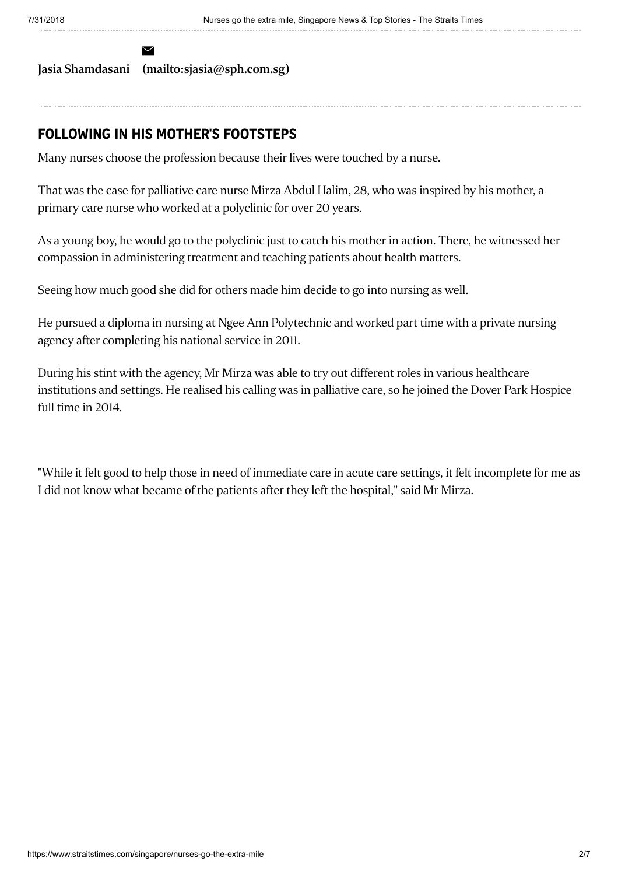Jasia [Shamdasani](https://www.straitstimes.com/authors/jasia-shamdasani) [\(mailto:sjasia@sph.com.sg\)](mailto:sjasia@sph.com.sg)

 $\overline{\smile}$ 

#### **FOLLOWING IN HIS MOTHER'S FOOTSTEPS**

Many nurses choose the profession because their lives were touched by a nurse.

That was the case for palliative care nurse Mirza Abdul Halim, 28, who was inspired by his mother, a primary care nurse who worked at a polyclinic for over 20 years.

As a young boy, he would go to the polyclinic just to catch his mother in action. There, he witnessed her compassion in administering treatment and teaching patients about health matters.

Seeing how much good she did for others made him decide to go into nursing as well.

He pursued a diploma in nursing at Ngee Ann Polytechnic and worked part time with a private nursing agency after completing his national service in 2011.

During his stint with the agency, Mr Mirza was able to try out different roles in various healthcare institutions and settings. He realised his calling was in palliative care, so he joined the Dover Park Hospice full time in 2014.

"While it felt good to help those in need of immediate care in acute care settings, it felt incomplete for me as I did not know what became of the patients after they left the hospital," said Mr Mirza.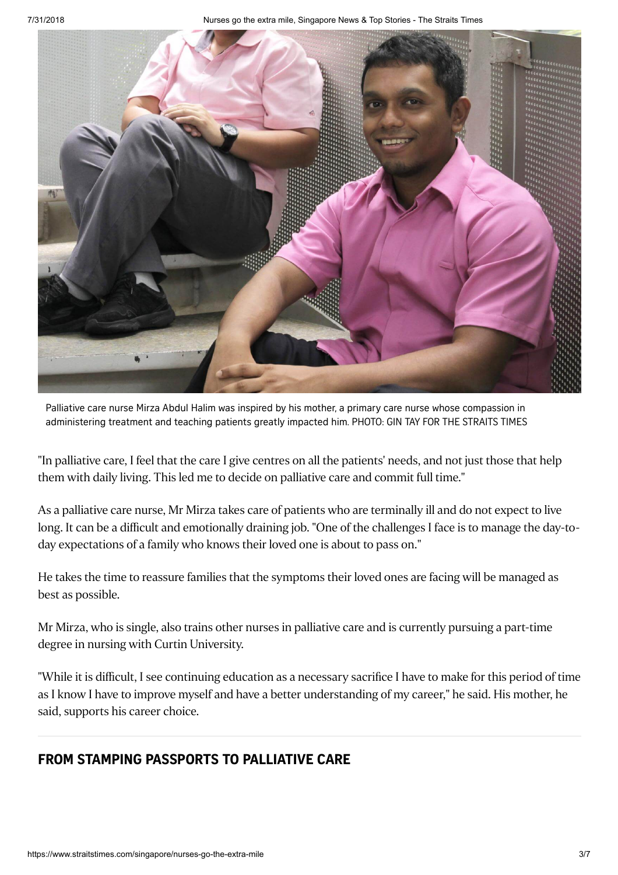

Palliative care nurse Mirza Abdul Halim was inspired by his mother, a primary care nurse whose compassion in administering treatment and teaching patients greatly impacted him. PHOTO: GIN TAY FOR THE STRAITS TIMES

"In palliative care, I feel that the care I give centres on all the patients' needs, and not just those that help them with daily living. This led me to decide on palliative care and commit full time."

As a palliative care nurse, Mr Mirza takes care of patients who are terminally ill and do not expect to live long. It can be a difficult and emotionally draining job. "One of the challenges I face is to manage the day-today expectations of a family who knows their loved one is about to pass on."

He takes the time to reassure families that the symptoms their loved ones are facing will be managed as best as possible.

Mr Mirza, who is single, also trains other nurses in palliative care and is currently pursuing a part-time degree in nursing with Curtin University.

"While it is difficult, I see continuing education as a necessary sacrifice I have to make for this period of time as I know I have to improve myself and have a better understanding of my career," he said. His mother, he said, supports his career choice.

### **FROM STAMPING PASSPORTS TO PALLIATIVE CARE**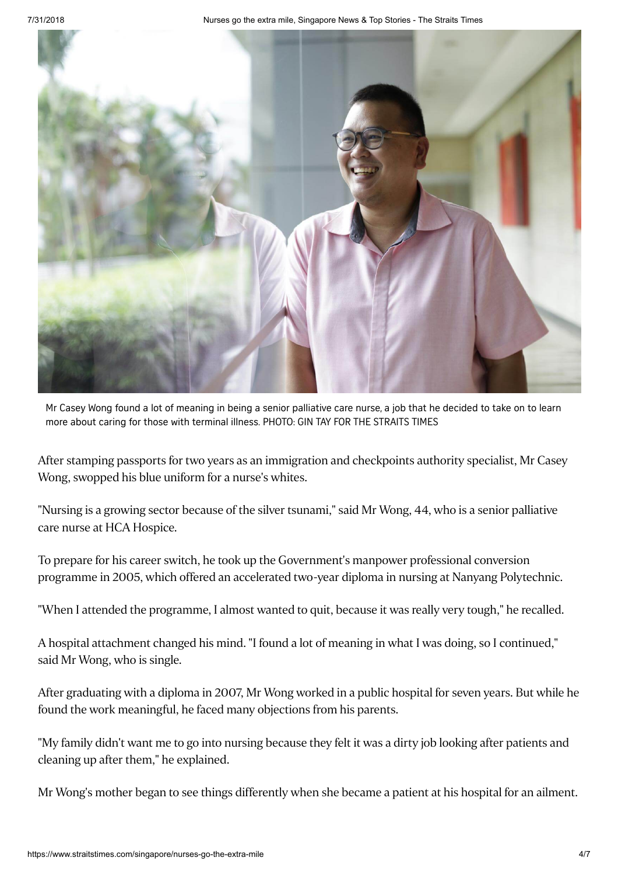7/31/2018 Nurses go the extra mile, Singapore News & Top Stories - The Straits Times



Mr Casey Wong found a lot of meaning in being a senior palliative care nurse, a job that he decided to take on to learn more about caring for those with terminal illness. PHOTO: GIN TAY FOR THE STRAITS TIMES

After stamping passports for two years as an immigration and checkpoints authority specialist, Mr Casey Wong, swopped his blue uniform for a nurse's whites.

"Nursing is a growing sector because of the silver tsunami," said Mr Wong, 44, who is a senior palliative care nurse at HCA Hospice.

To prepare for his career switch, he took up the Government's manpower professional conversion programme in 2005, which offered an accelerated two-year diploma in nursing at Nanyang Polytechnic.

"When I attended the programme, I almost wanted to quit, because it was really very tough," he recalled.

A hospital attachment changed his mind. "I found a lot of meaning in what I was doing, so I continued," said Mr Wong, who is single.

After graduating with a diploma in 2007, Mr Wong worked in a public hospital for seven years. But while he found the work meaningful, he faced many objections from his parents.

"My family didn't want me to go into nursing because they felt it was a dirty job looking after patients and cleaning up after them," he explained.

Mr Wong's mother began to see things differently when she became a patient at his hospital for an ailment.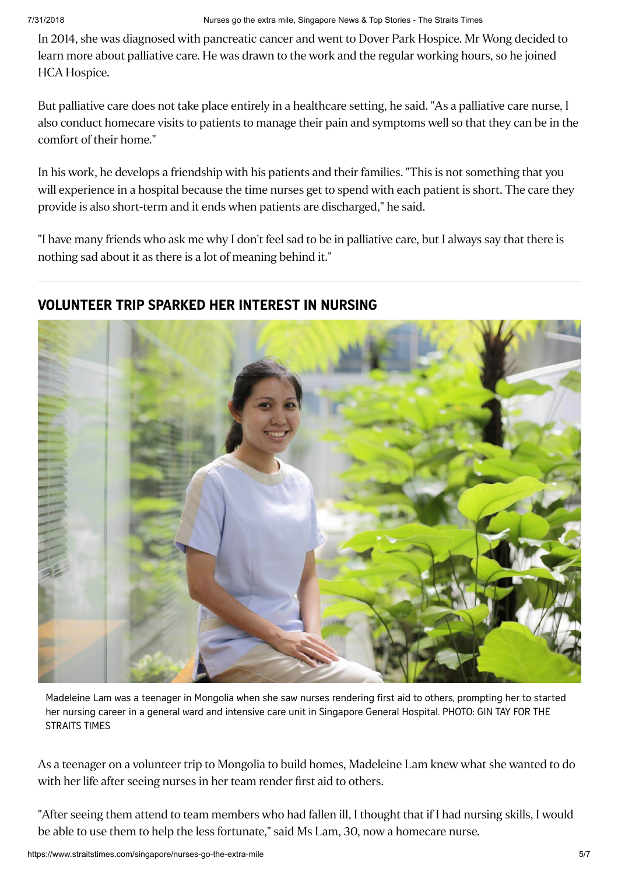In 2014, she was diagnosed with pancreatic cancer and went to Dover Park Hospice. Mr Wong decided to learn more about palliative care. He was drawn to the work and the regular working hours, so he joined HCA Hospice.

But palliative care does not take place entirely in a healthcare setting, he said. "As a palliative care nurse, I also conduct homecare visits to patients to manage their pain and symptoms well so that they can be in the comfort of their home."

In his work, he develops a friendship with his patients and their families. "This is not something that you will experience in a hospital because the time nurses get to spend with each patient is short. The care they provide is also short-term and it ends when patients are discharged," he said.

"I have many friends who ask me why I don't feel sad to be in palliative care, but I always say that there is nothing sad about it as there is a lot of meaning behind it."

#### **VOLUNTEER TRIP SPARKED HER INTEREST IN NURSING**



Madeleine Lam was a teenager in Mongolia when she saw nurses rendering first aid to others, prompting her to started her nursing career in a general ward and intensive care unit in Singapore General Hospital. PHOTO: GIN TAY FOR THE STRAITS TIMES

As a teenager on a volunteer trip to Mongolia to build homes, Madeleine Lam knew what she wanted to do with her life after seeing nurses in her team render first aid to others.

"After seeing them attend to team members who had fallen ill, I thought that if I had nursing skills, I would be able to use them to help the less fortunate," said Ms Lam, 30, now a homecare nurse.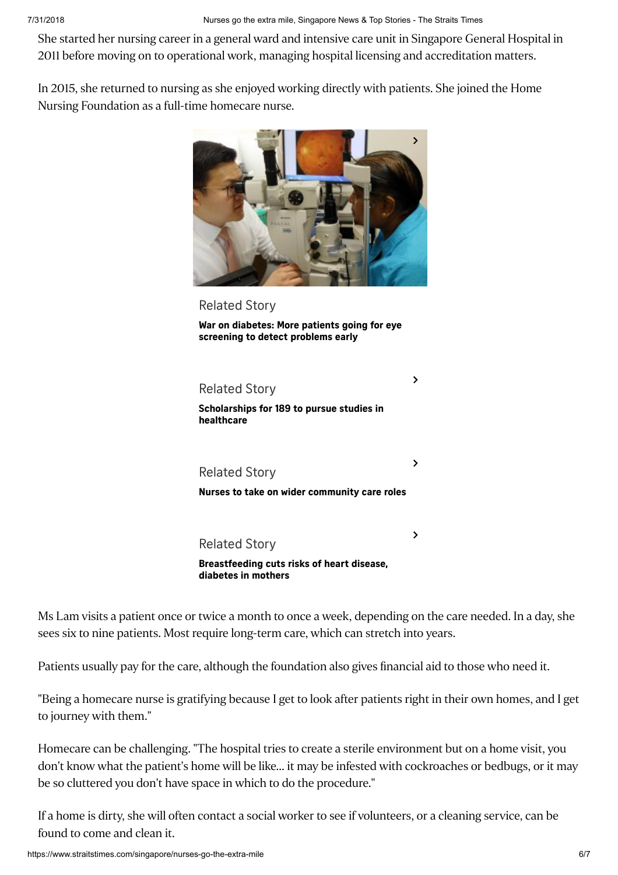7/31/2018 Nurses go the extra mile, Singapore News & Top Stories - The Straits Times

She started her nursing career in a general ward and intensive care unit in Singapore General Hospital in 2011 before moving on to operational work, managing hospital licensing and accreditation matters.

In 2015, she returned to nursing as she enjoyed working directly with patients. She joined the Home Nursing Foundation as a full-time homecare nurse.



[Related](https://www.straitstimes.com/singapore/health/more-patients-going-for-eye-screening-to-detect-problems-early) Story

**War on diabetes: More patients going for eye [screening](https://www.straitstimes.com/singapore/health/more-patients-going-for-eye-screening-to-detect-problems-early) to detect problems early**

Related Story **[Scholarships](https://www.straitstimes.com/singapore/scholarships-for-189-to-pursue-studies-in-healthcare) for 189 to pursue studies in healthcare**  $\rightarrow$ [Related](https://www.straitstimes.com/singapore/health/nurses-to-take-on-wider-community-care-roles) Story **Nurses to take on wider [community](https://www.straitstimes.com/singapore/health/nurses-to-take-on-wider-community-care-roles) care roles**  $\mathbf{\Sigma}$ Related Story  $\rightarrow$ 

**[Breastfeeding](https://www.straitstimes.com/singapore/health/breastfeeding-cuts-risks-of-heart-disease-diabetes-in-mothers) cuts risks of heart disease, diabetes in mothers**

Ms Lam visits a patient once or twice a month to once a week, depending on the care needed. In a day, she sees six to nine patients. Most require long-term care, which can stretch into years.

Patients usually pay for the care, although the foundation also gives financial aid to those who need it.

"Being a homecare nurse is gratifying because I get to look after patients right in their own homes, and I get to journey with them."

Homecare can be challenging. "The hospital tries to create a sterile environment but on a home visit, you don't know what the patient's home will be like... it may be infested with cockroaches or bedbugs, or it may be so cluttered you don't have space in which to do the procedure."

If a home is dirty, she will often contact a social worker to see if volunteers, or a cleaning service, can be found to come and clean it.